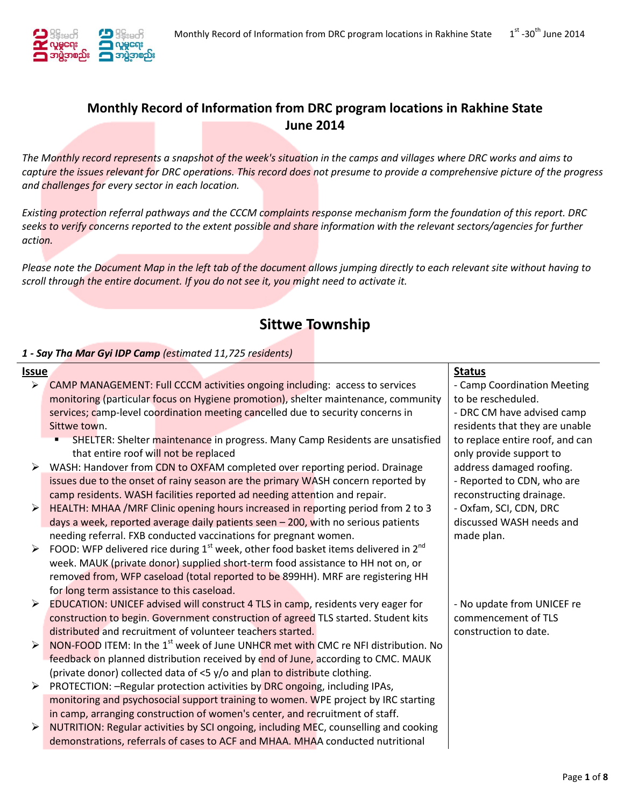

## **Monthly Record of Information from DRC program locations in Rakhine State June 2014**

*The Monthly record represents a snapshot of the week's situation in the camps and villages where DRC works and aims to capture the issues relevant for DRC operations. This record does not presume to provide a comprehensive picture of the progress and challenges for every sector in each location.* 

*Existing protection referral pathways and the CCCM complaints response mechanism form the foundation of this report. DRC seeks to verify concerns reported to the extent possible and share information with the relevant sectors/agencies for further action.*

*Please note the Document Map in the left tab of the document allows jumping directly to each relevant site without having to scroll through the entire document. If you do not see it, you might need to activate it.*

# **Sittwe Township**

## *1 - Say Tha Mar Gyi IDP Camp (estimated 11,725 residents)*

| Issue |                                                                                               | <b>Status</b>                   |
|-------|-----------------------------------------------------------------------------------------------|---------------------------------|
|       | $\triangleright$ CAMP MANAGEMENT: Full CCCM activities ongoing including: access to services  | - Camp Coordination Meeting     |
|       | monitoring (particular focus on Hygiene promotion), shelter maintenance, community            | to be rescheduled.              |
|       | services; camp-level coordination meeting cancelled due to security concerns in               | - DRC CM have advised camp      |
|       | Sittwe town.                                                                                  | residents that they are unable  |
|       | SHELTER: Shelter maintenance in progress. Many Camp Residents are unsatisfied                 | to replace entire roof, and can |
|       | that entire roof will not be replaced                                                         | only provide support to         |
|       | WASH: Handover from CDN to OXFAM completed over reporting period. Drainage                    | address damaged roofing.        |
|       | issues due to the onset of rainy season are the primary WASH concern reported by              | - Reported to CDN, who are      |
|       | camp residents. WASH facilities reported ad needing attention and repair.                     | reconstructing drainage.        |
| ➤     | HEALTH: MHAA /MRF Clinic opening hours increased in reporting period from 2 to 3              | - Oxfam, SCI, CDN, DRC          |
|       | days a week, reported average daily patients seen - 200, with no serious patients             | discussed WASH needs and        |
|       | needing referral. FXB conducted vaccinations for pregnant women.                              | made plan.                      |
| ➤     | FOOD: WFP delivered rice during $1st$ week, other food basket items delivered in $2nd$        |                                 |
|       | week. MAUK (private donor) supplied short-term food assistance to HH not on, or               |                                 |
|       | removed from, WFP caseload (total reported to be 899HH). MRF are registering HH               |                                 |
|       | for long term assistance to this caseload.                                                    |                                 |
| ➤     | <b>EDUCATION: UNICEF advised will construct 4 TLS in camp, residents very eager for</b>       | - No update from UNICEF re      |
|       | construction to begin. Government construction of agreed TLS started. Student kits            | commencement of TLS             |
|       | distributed and recruitment of volunteer teachers started.                                    | construction to date.           |
| ➤     | NON-FOOD ITEM: In the 1 <sup>st</sup> week of June UNHCR met with CMC re NFI distribution. No |                                 |
|       | feedback on planned distribution received by end of June, according to CMC. MAUK              |                                 |
|       | (private donor) collected data of <5 y/o and plan to distribute clothing.                     |                                 |
| ➤     | PROTECTION: - Regular protection activities by DRC ongoing, including IPAs,                   |                                 |
|       | monitoring and psychosocial support training to women. WPE project by IRC starting            |                                 |
|       | in camp, arranging construction of women's center, and recruitment of staff.                  |                                 |
| ➤     | NUTRITION: Regular activities by SCI ongoing, including MEC, counselling and cooking          |                                 |
|       | demonstrations, referrals of cases to ACF and MHAA. MHAA conducted nutritional                |                                 |
|       |                                                                                               |                                 |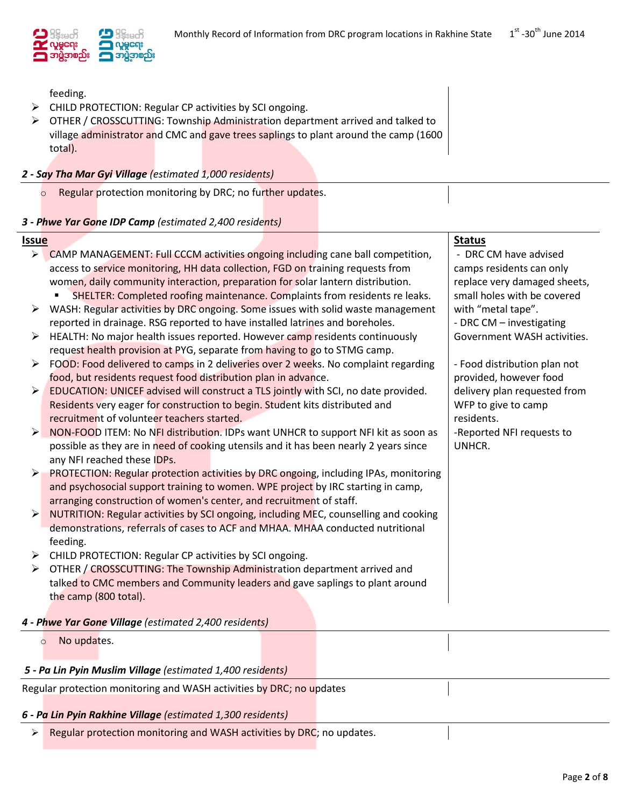

feeding.

- CHILD PROTECTION: Regular CP activities by SCI ongoing.
- OTHER / CROSSCUTTING: Township Administration department arrived and talked to village administrator and CMC and gave trees saplings to plant around the camp (1600 total).

## *2 - Say Tha Mar Gyi Village (estimated 1,000 residents)*

o Regular protection monitoring by DRC; no further updates.

## *3 - Phwe Yar Gone IDP Camp (estimated 2,400 residents)*

#### **Issue Status**

|                       | CAMP MANAGEMENT: Full CCCM activities ongoing including cane ball competition,        | - DRC CM have advised        |
|-----------------------|---------------------------------------------------------------------------------------|------------------------------|
|                       | access to service monitoring, HH data collection, FGD on training requests from       | camps residents can only     |
|                       | women, daily community interaction, preparation for solar lantern distribution.       | replace very damaged sheets, |
|                       | SHELTER: Completed roofing maintenance. Complaints from residents re leaks.           | small holes with be covered  |
| ➤                     | WASH: Regular activities by DRC ongoing. Some issues with solid waste management      | with "metal tape".           |
|                       | reported in drainage. RSG reported to have installed latrines and boreholes.          | - DRC CM - investigating     |
| ➤                     | HEALTH: No major health issues reported. However camp residents continuously          | Government WASH activities.  |
|                       | request health provision at PYG, separate from having to go to STMG camp.             |                              |
| $\blacktriangleright$ | FOOD: Food delivered to camps in 2 deliveries over 2 weeks. No complaint regarding    | - Food distribution plan not |
|                       | food, but residents request food distribution plan in advance.                        | provided, however food       |
| $\blacktriangleright$ | EDUCATION: UNICEF advised will construct a TLS jointly with SCI, no date provided.    | delivery plan requested from |
|                       | Residents very eager for construction to begin. Student kits distributed and          | WFP to give to camp          |
|                       | recruitment of volunteer teachers started.                                            | residents.                   |
| ➤                     | NON-FOOD ITEM: No NFI distribution. IDPs want UNHCR to support NFI kit as soon as     | -Reported NFI requests to    |
|                       | possible as they are in need of cooking utensils and it has been nearly 2 years since | UNHCR.                       |
|                       | any NFI reached these IDPs.                                                           |                              |
| ➤                     | PROTECTION: Regular protection activities by DRC ongoing, including IPAs, monitoring  |                              |
|                       | and psychosocial support training to women. WPE project by IRC starting in camp,      |                              |
|                       | arranging construction of women's center, and recruitment of staff.                   |                              |
| $\blacktriangleright$ | NUTRITION: Regular activities by SCI ongoing, including MEC, counselling and cooking  |                              |
|                       | demonstrations, referrals of cases to ACF and MHAA. MHAA conducted nutritional        |                              |
|                       | feeding.                                                                              |                              |
| ➤                     | CHILD PROTECTION: Regular CP activities by SCI ongoing.                               |                              |
| ➤                     | OTHER / CROSSCUTTING: The Township Administration department arrived and              |                              |
|                       | talked to CMC members and Community leaders and gave saplings to plant around         |                              |
|                       | the camp (800 total).                                                                 |                              |
|                       |                                                                                       |                              |
|                       | 4 - Phwe Yar Gone Village (estimated 2,400 residents)                                 |                              |
| $\circ$               | No updates.                                                                           |                              |
|                       |                                                                                       |                              |
|                       | 5 - Pa Lin Pyin Muslim Village (estimated 1,400 residents)                            |                              |
|                       | Regular protection monitoring and WASH activities by DRC; no updates                  |                              |
|                       |                                                                                       |                              |
|                       | 6 - Pa Lin Pyin Rakhine Village (estimated 1,300 residents)                           |                              |
| ≻∣                    | Regular protection monitoring and WASH activities by DRC; no updates.                 |                              |
|                       |                                                                                       |                              |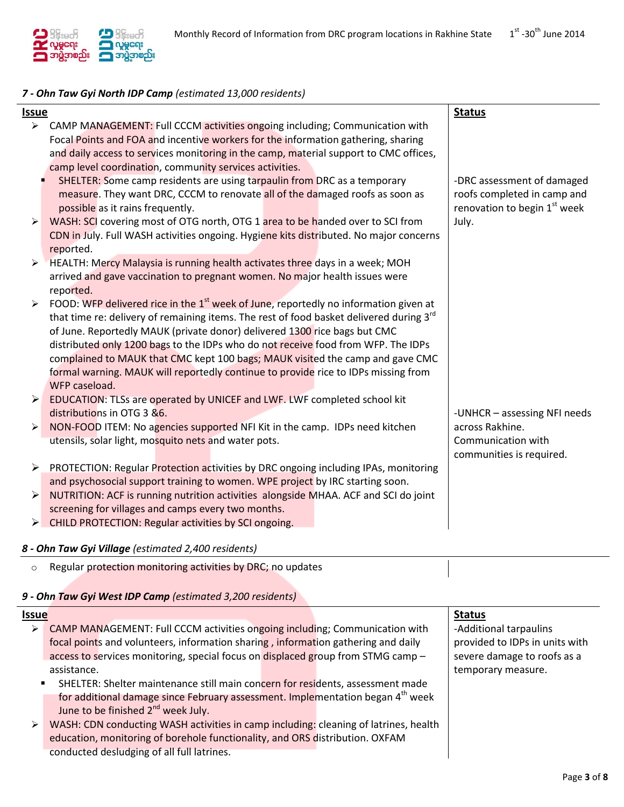

## *7 - Ohn Taw Gyi North IDP Camp (estimated 13,000 residents)*

| Issue                 |                                                                                                                                                                                                                                                                                                                                                                                                                                                                                                                                                                                                                                                                                                                                                                                                                      | <b>Status</b>                                                                                     |
|-----------------------|----------------------------------------------------------------------------------------------------------------------------------------------------------------------------------------------------------------------------------------------------------------------------------------------------------------------------------------------------------------------------------------------------------------------------------------------------------------------------------------------------------------------------------------------------------------------------------------------------------------------------------------------------------------------------------------------------------------------------------------------------------------------------------------------------------------------|---------------------------------------------------------------------------------------------------|
|                       | > CAMP MANAGEMENT: Full CCCM activities ongoing including; Communication with                                                                                                                                                                                                                                                                                                                                                                                                                                                                                                                                                                                                                                                                                                                                        |                                                                                                   |
|                       | Focal Points and FOA and incentive workers for the information gathering, sharing                                                                                                                                                                                                                                                                                                                                                                                                                                                                                                                                                                                                                                                                                                                                    |                                                                                                   |
|                       | and daily access to services monitoring in the camp, material support to CMC offices,                                                                                                                                                                                                                                                                                                                                                                                                                                                                                                                                                                                                                                                                                                                                |                                                                                                   |
|                       | camp level coordination, community services activities.                                                                                                                                                                                                                                                                                                                                                                                                                                                                                                                                                                                                                                                                                                                                                              |                                                                                                   |
|                       | SHELTER: Some camp residents are using tarpaulin from DRC as a temporary                                                                                                                                                                                                                                                                                                                                                                                                                                                                                                                                                                                                                                                                                                                                             | -DRC assessment of damaged                                                                        |
|                       | measure. They want DRC, CCCM to renovate all of the damaged roofs as soon as                                                                                                                                                                                                                                                                                                                                                                                                                                                                                                                                                                                                                                                                                                                                         | roofs completed in camp and                                                                       |
|                       | possible as it rains frequently.                                                                                                                                                                                                                                                                                                                                                                                                                                                                                                                                                                                                                                                                                                                                                                                     | renovation to begin 1 <sup>st</sup> week                                                          |
| $\blacktriangleright$ | WASH: SCI covering most of OTG north, OTG 1 area to be handed over to SCI from                                                                                                                                                                                                                                                                                                                                                                                                                                                                                                                                                                                                                                                                                                                                       | July.                                                                                             |
|                       | CDN in July. Full WASH activities ongoing. Hygiene kits distributed. No major concerns                                                                                                                                                                                                                                                                                                                                                                                                                                                                                                                                                                                                                                                                                                                               |                                                                                                   |
|                       | reported.                                                                                                                                                                                                                                                                                                                                                                                                                                                                                                                                                                                                                                                                                                                                                                                                            |                                                                                                   |
| $\blacktriangleright$ | HEALTH: Mercy Malaysia is running health activates three days in a week; MOH                                                                                                                                                                                                                                                                                                                                                                                                                                                                                                                                                                                                                                                                                                                                         |                                                                                                   |
|                       | arrived and gave vaccination to pregnant women. No major health issues were                                                                                                                                                                                                                                                                                                                                                                                                                                                                                                                                                                                                                                                                                                                                          |                                                                                                   |
|                       | reported.                                                                                                                                                                                                                                                                                                                                                                                                                                                                                                                                                                                                                                                                                                                                                                                                            |                                                                                                   |
| ➤                     | FOOD: WFP delivered rice in the 1 <sup>st</sup> week of June, reportedly no information given at                                                                                                                                                                                                                                                                                                                                                                                                                                                                                                                                                                                                                                                                                                                     |                                                                                                   |
|                       | that time re: delivery of remaining items. The rest of food basket delivered during 3rd                                                                                                                                                                                                                                                                                                                                                                                                                                                                                                                                                                                                                                                                                                                              |                                                                                                   |
|                       | of June. Reportedly MAUK (private donor) delivered 1300 rice bags but CMC                                                                                                                                                                                                                                                                                                                                                                                                                                                                                                                                                                                                                                                                                                                                            |                                                                                                   |
|                       | distributed only 1200 bags to the IDPs who do not receive food from WFP. The IDPs                                                                                                                                                                                                                                                                                                                                                                                                                                                                                                                                                                                                                                                                                                                                    |                                                                                                   |
|                       |                                                                                                                                                                                                                                                                                                                                                                                                                                                                                                                                                                                                                                                                                                                                                                                                                      |                                                                                                   |
|                       |                                                                                                                                                                                                                                                                                                                                                                                                                                                                                                                                                                                                                                                                                                                                                                                                                      |                                                                                                   |
|                       |                                                                                                                                                                                                                                                                                                                                                                                                                                                                                                                                                                                                                                                                                                                                                                                                                      |                                                                                                   |
|                       |                                                                                                                                                                                                                                                                                                                                                                                                                                                                                                                                                                                                                                                                                                                                                                                                                      |                                                                                                   |
|                       |                                                                                                                                                                                                                                                                                                                                                                                                                                                                                                                                                                                                                                                                                                                                                                                                                      |                                                                                                   |
|                       |                                                                                                                                                                                                                                                                                                                                                                                                                                                                                                                                                                                                                                                                                                                                                                                                                      |                                                                                                   |
|                       |                                                                                                                                                                                                                                                                                                                                                                                                                                                                                                                                                                                                                                                                                                                                                                                                                      |                                                                                                   |
|                       |                                                                                                                                                                                                                                                                                                                                                                                                                                                                                                                                                                                                                                                                                                                                                                                                                      |                                                                                                   |
|                       |                                                                                                                                                                                                                                                                                                                                                                                                                                                                                                                                                                                                                                                                                                                                                                                                                      |                                                                                                   |
|                       |                                                                                                                                                                                                                                                                                                                                                                                                                                                                                                                                                                                                                                                                                                                                                                                                                      |                                                                                                   |
|                       |                                                                                                                                                                                                                                                                                                                                                                                                                                                                                                                                                                                                                                                                                                                                                                                                                      |                                                                                                   |
|                       |                                                                                                                                                                                                                                                                                                                                                                                                                                                                                                                                                                                                                                                                                                                                                                                                                      |                                                                                                   |
|                       |                                                                                                                                                                                                                                                                                                                                                                                                                                                                                                                                                                                                                                                                                                                                                                                                                      |                                                                                                   |
| ➤<br>➤<br>➤<br>➤      | complained to MAUK that CMC kept 100 bags; MAUK visited the camp and gave CMC<br>formal warning. MAUK will reportedly continue to provide rice to IDPs missing from<br>WFP caseload.<br>EDUCATION: TLSs are operated by UNICEF and LWF. LWF completed school kit<br>distributions in OTG 3 &6.<br>NON-FOOD ITEM: No agencies supported NFI Kit in the camp. IDPs need kitchen<br>utensils, solar light, mosquito nets and water pots.<br>PROTECTION: Regular Protection activities by DRC ongoing including IPAs, monitoring<br>and psychosocial support training to women. WPE project by IRC starting soon.<br>NUTRITION: ACF is running nutrition activities alongside MHAA. ACF and SCI do joint<br>screening for villages and camps every two months.<br>> CHILD PROTECTION: Regular activities by SCI ongoing. | -UNHCR - assessing NFI needs<br>across Rakhine.<br>Communication with<br>communities is required. |

#### *8 - Ohn Taw Gyi Village (estimated 2,400 residents)*

|  | o Regular protection monitoring activities by DRC; no updates |  |  |
|--|---------------------------------------------------------------|--|--|
|  |                                                               |  |  |

## *9 - Ohn Taw Gyi West IDP Camp (estimated 3,200 residents)*

| <b>Issue</b>   |                                                                                            | <b>Status</b>                  |
|----------------|--------------------------------------------------------------------------------------------|--------------------------------|
| ➤              | CAMP MANAGEMENT: Full CCCM activities ongoing including; Communication with                | -Additional tarpaulins         |
|                | focal points and volunteers, information sharing, information gathering and daily          | provided to IDPs in units with |
|                | access to services monitoring, special focus on displaced group from STMG camp -           | severe damage to roofs as a    |
|                | assistance.                                                                                | temporary measure.             |
| $\blacksquare$ | SHELTER: Shelter maintenance still main concern for residents, assessment made             |                                |
|                | for additional damage since February assessment. Implementation began 4 <sup>th</sup> week |                                |
|                | June to be finished 2 <sup>nd</sup> week July.                                             |                                |
| ⋗              | WASH: CDN conducting WASH activities in camp including: cleaning of latrines, health       |                                |
|                | education, monitoring of borehole functionality, and ORS distribution. OXFAM               |                                |
|                | conducted desludging of all full latrines.                                                 |                                |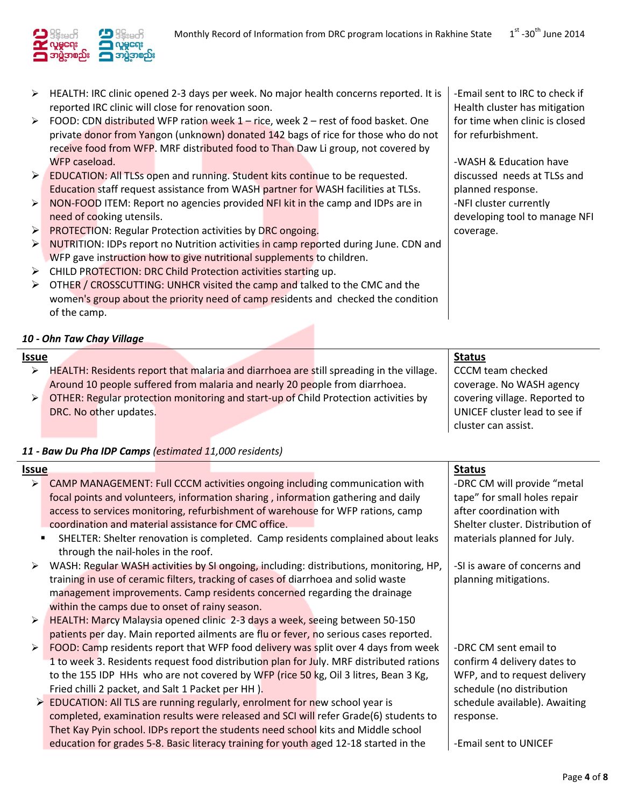-Email sent to IRC to check if Health cluster has mitigation for time when clinic is closed

for refurbishment.

planned response. -NFI cluster currently

-WASH & Education have discussed needs at TLSs and

developing tool to manage NFI



- $\triangleright$  HEALTH: IRC clinic opened 2-3 days per week. No major health concerns reported. It is reported IRC clinic will close for renovation soon.
- $\triangleright$  FOOD: CDN distributed WFP ration week 1 rice, week 2 rest of food basket. One private donor from Yangon (unknown) donated 142 bags of rice for those who do not receive food from WFP. MRF distributed food to Than Daw Li group, not covered by WFP caseload.
- EDUCATION: All TLSs open and running. Student kits continue to be requested. Education staff request assistance from WASH partner for WASH facilities at TLSs.
- $\triangleright$  NON-FOOD ITEM: Report no agencies provided NFI kit in the camp and IDPs are in need of cooking utensils.
- **PROTECTION:** Regular Protection activities by DRC ongoing.
- $\triangleright$  NUTRITION: IDPs report no Nutrition activities in camp reported during June. CDN and WFP gave instruction how to give nutritional supplements to children.
- > CHILD PROTECTION: DRC Child Protection activities starting up.
- $\triangleright$  OTHER / CROSSCUTTING: UNHCR visited the camp and talked to the CMC and the women's group about the priority need of camp residents and checked the condition of the camp.

## *10 - Ohn Taw Chay Village*

| <b>Issue</b>       |                        |  |                                                                                         | <b>Status</b>                 |
|--------------------|------------------------|--|-----------------------------------------------------------------------------------------|-------------------------------|
| ⋗                  |                        |  | HEALTH: Residents report that malaria and diarrhoea are still spreading in the village. | CCCM team checked             |
|                    |                        |  | Around 10 people suffered from malaria and nearly 20 people from diarrhoea.             | coverage. No WASH agency      |
| $\triangleright$ 1 |                        |  | OTHER: Regular protection monitoring and start-up of Child Protection activities by     | covering village. Reported to |
|                    | DRC. No other updates. |  |                                                                                         | UNICEF cluster lead to see if |
|                    |                        |  |                                                                                         | cluster can assist.           |

## *11 - Baw Du Pha IDP Camps (estimated 11,000 residents)*

| Issue          |                                                                                         | <b>Status</b>                    |
|----------------|-----------------------------------------------------------------------------------------|----------------------------------|
| ≻              | CAMP MANAGEMENT: Full CCCM activities ongoing including communication with              | -DRC CM will provide "metal      |
|                | focal points and volunteers, information sharing, information gathering and daily       | tape" for small holes repair     |
|                | access to services monitoring, refurbishment of warehouse for WFP rations, camp         | after coordination with          |
|                | coordination and material assistance for CMC office.                                    | Shelter cluster. Distribution of |
| $\blacksquare$ | SHELTER: Shelter renovation is completed. Camp residents complained about leaks         | materials planned for July.      |
|                | through the nail-holes in the roof.                                                     |                                  |
| ➤              | WASH: Regular WASH activities by SI ongoing, including: distributions, monitoring, HP,  | -SI is aware of concerns and     |
|                | training in use of ceramic filters, tracking of cases of diarrhoea and solid waste      | planning mitigations.            |
|                | management improvements. Camp residents concerned regarding the drainage                |                                  |
|                | within the camps due to onset of rainy season.                                          |                                  |
| ≻              | HEALTH: Marcy Malaysia opened clinic 2-3 days a week, seeing between 50-150             |                                  |
|                | patients per day. Main reported ailments are flu or fever, no serious cases reported.   |                                  |
| ➤              | FOOD: Camp residents report that WFP food delivery was split over 4 days from week      | -DRC CM sent email to            |
|                | 1 to week 3. Residents request food distribution plan for July. MRF distributed rations | confirm 4 delivery dates to      |
|                | to the 155 IDP HHs who are not covered by WFP (rice 50 kg, Oil 3 litres, Bean 3 Kg,     | WFP, and to request delivery     |
|                | Fried chilli 2 packet, and Salt 1 Packet per HH).                                       | schedule (no distribution        |
|                | EDUCATION: All TLS are running regularly, enrolment for new school year is              | schedule available). Awaiting    |
|                | completed, examination results were released and SCI will refer Grade(6) students to    | response.                        |
|                | Thet Kay Pyin school. IDPs report the students need school kits and Middle school       |                                  |
|                | education for grades 5-8. Basic literacy training for youth aged 12-18 started in the   | -Email sent to UNICEF            |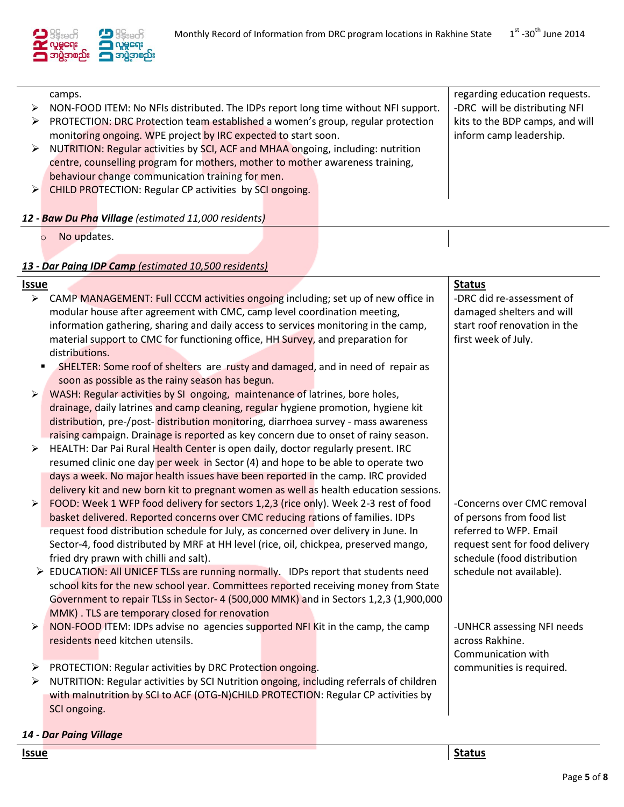

|   | camps. |                                                                                    |  | regarding education requests.   |
|---|--------|------------------------------------------------------------------------------------|--|---------------------------------|
| ➤ |        | NON-FOOD ITEM: No NFIs distributed. The IDPs report long time without NFI support. |  | -DRC will be distributing NFI   |
| ➤ |        | PROTECTION: DRC Protection team established a women's group, regular protection    |  | kits to the BDP camps, and will |
|   |        | monitoring ongoing. WPE project by IRC expected to start soon.                     |  | inform camp leadership.         |
| ➤ |        | NUTRITION: Regular activities by SCI, ACF and MHAA ongoing, including: nutrition   |  |                                 |
|   |        | centre, counselling program for mothers, mother to mother awareness training,      |  |                                 |
|   |        | behaviour change communication training for men.                                   |  |                                 |
|   |        | $\triangleright$ CHILD PROTECTION: Regular CP activities by SCI ongoing.           |  |                                 |
|   |        |                                                                                    |  |                                 |
|   |        | 12 - Baw Du Pha Village (estimated 11,000 residents)                               |  |                                 |

o No updates.

## *13 - Dar Paing IDP Camp (estimated 10,500 residents)*

| Issue                 |                                                                                                                    | <b>Status</b>                                 |
|-----------------------|--------------------------------------------------------------------------------------------------------------------|-----------------------------------------------|
| $\blacktriangleright$ | CAMP MANAGEMENT: Full CCCM activities ongoing including; set up of new office in                                   | -DRC did re-assessment of                     |
|                       | modular house after agreement with CMC, camp level coordination meeting,                                           | damaged shelters and will                     |
|                       | information gathering, sharing and daily access to services monitoring in the camp,                                | start roof renovation in the                  |
|                       | material support to CMC for functioning office, HH Survey, and preparation for                                     | first week of July.                           |
|                       | distributions.                                                                                                     |                                               |
|                       | SHELTER: Some roof of shelters are rusty and damaged, and in need of repair as                                     |                                               |
|                       | soon as possible as the rainy season has begun.                                                                    |                                               |
| $\blacktriangleright$ | WASH: Regular activities by SI ongoing, maintenance of latrines, bore holes,                                       |                                               |
|                       | drainage, daily latrines and camp cleaning, regular hygiene promotion, hygiene kit                                 |                                               |
|                       | distribution, pre-/post-distribution monitoring, diarrhoea survey - mass awareness                                 |                                               |
|                       | raising campaign. Drainage is reported as key concern due to onset of rainy season.                                |                                               |
| ➤                     | HEALTH: Dar Pai Rural Health Center is open daily, doctor regularly present. IRC                                   |                                               |
|                       | resumed clinic one day per week in Sector (4) and hope to be able to operate two                                   |                                               |
|                       | days a week. No major health issues have been reported in the camp. IRC provided                                   |                                               |
|                       | delivery kit and new born kit to pregnant women as well as health education sessions.                              |                                               |
| ➤                     | FOOD: Week 1 WFP food delivery for sectors 1,2,3 (rice only). Week 2-3 rest of food                                | -Concerns over CMC removal                    |
|                       | basket delivered. Reported concerns over CMC reducing rations of families. IDPs                                    | of persons from food list                     |
|                       | request food distribution schedule for July, as concerned over delivery in June. In                                | referred to WFP. Email                        |
|                       | Sector-4, food distributed by MRF at HH level (rice, oil, chickpea, preserved mango,                               | request sent for food delivery                |
|                       | fried dry prawn with chilli and salt).                                                                             | schedule (food distribution                   |
|                       | EDUCATION: All UNICEF TLSs are running normally. IDPs report that students need                                    | schedule not available).                      |
|                       | school kits for the new school year. Committees reported receiving money from State                                |                                               |
|                       | Government to repair TLSs in Sector- 4 (500,000 MMK) and in Sectors 1,2,3 (1,900,000                               |                                               |
|                       | MMK). TLS are temporary closed for renovation                                                                      |                                               |
| ➤                     | NON-FOOD ITEM: IDPs advise no agencies supported NFI Kit in the camp, the camp<br>residents need kitchen utensils. | -UNHCR assessing NFI needs<br>across Rakhine. |
|                       |                                                                                                                    | Communication with                            |
| ➤                     | PROTECTION: Regular activities by DRC Protection ongoing.                                                          | communities is required.                      |
| ➤                     | NUTRITION: Regular activities by SCI Nutrition ongoing, including referrals of children                            |                                               |
|                       | with malnutrition by SCI to ACF (OTG-N)CHILD PROTECTION: Regular CP activities by                                  |                                               |
|                       | SCI ongoing.                                                                                                       |                                               |
|                       |                                                                                                                    |                                               |

#### *14 - Dar Paing Village*